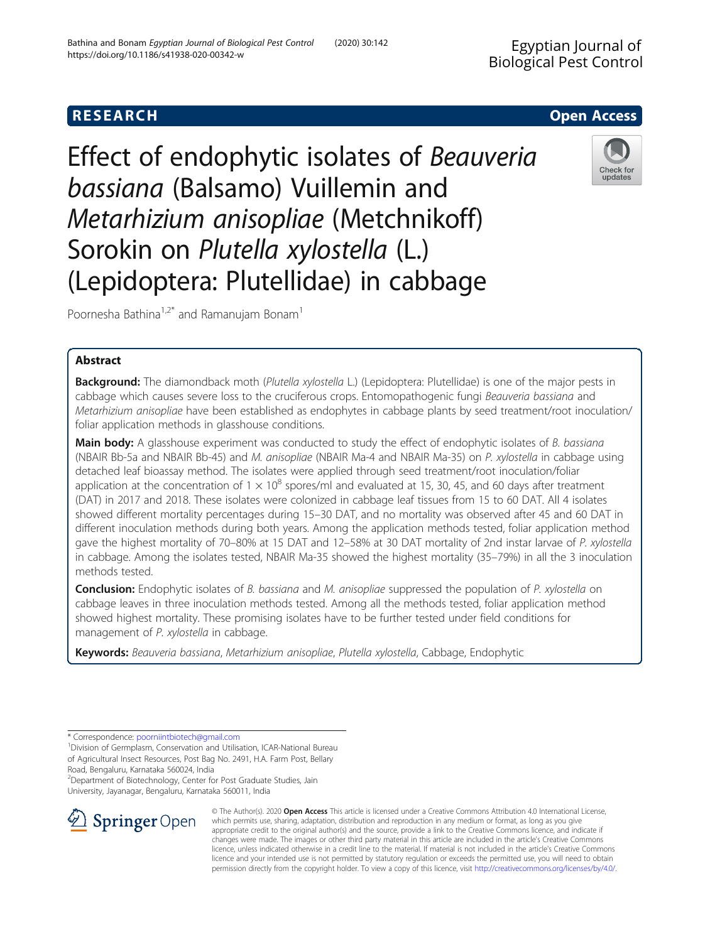## **RESEARCH CHE Open Access**

Effect of endophytic isolates of Beauveria bassiana (Balsamo) Vuillemin and Metarhizium anisopliae (Metchnikoff) Sorokin on Plutella xylostella (L.) (Lepidoptera: Plutellidae) in cabbage



Poornesha Bathina<sup>1,2\*</sup> and Ramanujam Bonam<sup>1</sup>

## Abstract

Background: The diamondback moth (Plutella xylostella L.) (Lepidoptera: Plutellidae) is one of the major pests in cabbage which causes severe loss to the cruciferous crops. Entomopathogenic fungi Beauveria bassiana and Metarhizium anisopliae have been established as endophytes in cabbage plants by seed treatment/root inoculation/ foliar application methods in glasshouse conditions.

Main body: A glasshouse experiment was conducted to study the effect of endophytic isolates of B. bassiana (NBAIR Bb-5a and NBAIR Bb-45) and M. anisopliae (NBAIR Ma-4 and NBAIR Ma-35) on P. xylostella in cabbage using detached leaf bioassay method. The isolates were applied through seed treatment/root inoculation/foliar application at the concentration of  $1 \times 10^8$  spores/ml and evaluated at 15, 30, 45, and 60 days after treatment (DAT) in 2017 and 2018. These isolates were colonized in cabbage leaf tissues from 15 to 60 DAT. All 4 isolates showed different mortality percentages during 15–30 DAT, and no mortality was observed after 45 and 60 DAT in different inoculation methods during both years. Among the application methods tested, foliar application method gave the highest mortality of 70–80% at 15 DAT and 12–58% at 30 DAT mortality of 2nd instar larvae of P. xylostella in cabbage. Among the isolates tested, NBAIR Ma-35 showed the highest mortality (35–79%) in all the 3 inoculation methods tested.

**Conclusion:** Endophytic isolates of B. bassiana and M. anisopliae suppressed the population of P. xylostella on cabbage leaves in three inoculation methods tested. Among all the methods tested, foliar application method showed highest mortality. These promising isolates have to be further tested under field conditions for management of P. xylostella in cabbage.

Keywords: Beauveria bassiana, Metarhizium anisopliae, Plutella xylostella, Cabbage, Endophytic

\* Correspondence: [poorniintbiotech@gmail.com](mailto:poorniintbiotech@gmail.com) <sup>1</sup>

<sup>1</sup> Division of Germplasm, Conservation and Utilisation, ICAR-National Bureau of Agricultural Insect Resources, Post Bag No. 2491, H.A. Farm Post, Bellary Road, Bengaluru, Karnataka 560024, India

<sup>2</sup>Department of Biotechnology, Center for Post Graduate Studies, Jain University, Jayanagar, Bengaluru, Karnataka 560011, India



© The Author(s). 2020 Open Access This article is licensed under a Creative Commons Attribution 4.0 International License, which permits use, sharing, adaptation, distribution and reproduction in any medium or format, as long as you give appropriate credit to the original author(s) and the source, provide a link to the Creative Commons licence, and indicate if changes were made. The images or other third party material in this article are included in the article's Creative Commons licence, unless indicated otherwise in a credit line to the material. If material is not included in the article's Creative Commons licence and your intended use is not permitted by statutory regulation or exceeds the permitted use, you will need to obtain permission directly from the copyright holder. To view a copy of this licence, visit <http://creativecommons.org/licenses/by/4.0/>.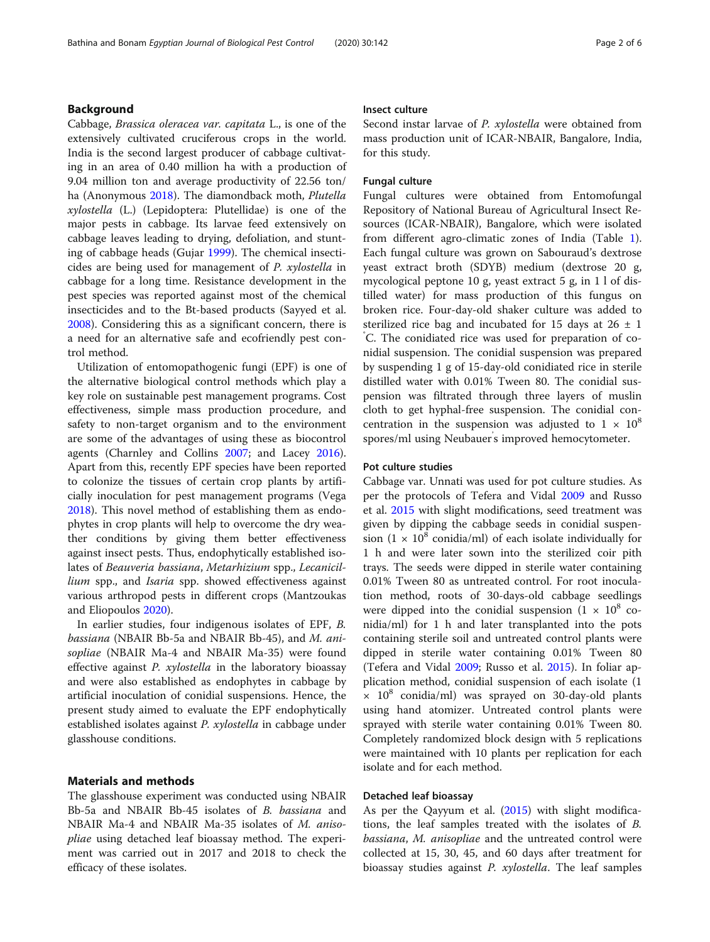## Background

Cabbage, Brassica oleracea var. capitata L., is one of the extensively cultivated cruciferous crops in the world. India is the second largest producer of cabbage cultivating in an area of 0.40 million ha with a production of 9.04 million ton and average productivity of 22.56 ton/ ha (Anonymous [2018](#page-4-0)). The diamondback moth, Plutella xylostella (L.) (Lepidoptera: Plutellidae) is one of the major pests in cabbage. Its larvae feed extensively on cabbage leaves leading to drying, defoliation, and stunting of cabbage heads (Gujar [1999\)](#page-5-0). The chemical insecticides are being used for management of P. xylostella in cabbage for a long time. Resistance development in the pest species was reported against most of the chemical insecticides and to the Bt-based products (Sayyed et al. [2008](#page-5-0)). Considering this as a significant concern, there is a need for an alternative safe and ecofriendly pest control method.

Utilization of entomopathogenic fungi (EPF) is one of the alternative biological control methods which play a key role on sustainable pest management programs. Cost effectiveness, simple mass production procedure, and safety to non-target organism and to the environment are some of the advantages of using these as biocontrol agents (Charnley and Collins [2007](#page-4-0); and Lacey [2016](#page-5-0)). Apart from this, recently EPF species have been reported to colonize the tissues of certain crop plants by artificially inoculation for pest management programs (Vega [2018](#page-5-0)). This novel method of establishing them as endophytes in crop plants will help to overcome the dry weather conditions by giving them better effectiveness against insect pests. Thus, endophytically established isolates of Beauveria bassiana, Metarhizium spp., Lecanicillium spp., and Isaria spp. showed effectiveness against various arthropod pests in different crops (Mantzoukas and Eliopoulos [2020](#page-5-0)).

In earlier studies, four indigenous isolates of EPF, B. bassiana (NBAIR Bb-5a and NBAIR Bb-45), and M. anisopliae (NBAIR Ma-4 and NBAIR Ma-35) were found effective against P. xylostella in the laboratory bioassay and were also established as endophytes in cabbage by artificial inoculation of conidial suspensions. Hence, the present study aimed to evaluate the EPF endophytically established isolates against P. xylostella in cabbage under glasshouse conditions.

## Materials and methods

The glasshouse experiment was conducted using NBAIR Bb-5a and NBAIR Bb-45 isolates of B. bassiana and NBAIR Ma-4 and NBAIR Ma-35 isolates of M. anisopliae using detached leaf bioassay method. The experiment was carried out in 2017 and 2018 to check the efficacy of these isolates.

## Insect culture

Second instar larvae of P. xylostella were obtained from mass production unit of ICAR-NBAIR, Bangalore, India, for this study.

## Fungal culture

Fungal cultures were obtained from Entomofungal Repository of National Bureau of Agricultural Insect Resources (ICAR-NBAIR), Bangalore, which were isolated from different agro-climatic zones of India (Table [1](#page-2-0)). Each fungal culture was grown on Sabouraud's dextrose yeast extract broth (SDYB) medium (dextrose 20 g, mycological peptone 10 g, yeast extract 5 g, in 1 l of distilled water) for mass production of this fungus on broken rice. Four-day-old shaker culture was added to sterilized rice bag and incubated for 15 days at  $26 \pm 1$ ° C. The conidiated rice was used for preparation of conidial suspension. The conidial suspension was prepared by suspending 1 g of 15-day-old conidiated rice in sterile distilled water with 0.01% Tween 80. The conidial suspension was filtrated through three layers of muslin cloth to get hyphal-free suspension. The conidial concentration in the suspension was adjusted to  $1 \times 10^8$ spores/ml using Neubauer' s improved hemocytometer.

#### Pot culture studies

Cabbage var. Unnati was used for pot culture studies. As per the protocols of Tefera and Vidal [2009](#page-5-0) and Russo et al. [2015](#page-5-0) with slight modifications, seed treatment was given by dipping the cabbage seeds in conidial suspension (1  $\times$  10<sup>8</sup> conidia/ml) of each isolate individually for 1 h and were later sown into the sterilized coir pith trays. The seeds were dipped in sterile water containing 0.01% Tween 80 as untreated control. For root inoculation method, roots of 30-days-old cabbage seedlings were dipped into the conidial suspension  $(1 \times 10^8 \text{ co-}$ nidia/ml) for 1 h and later transplanted into the pots containing sterile soil and untreated control plants were dipped in sterile water containing 0.01% Tween 80 (Tefera and Vidal [2009;](#page-5-0) Russo et al. [2015\)](#page-5-0). In foliar application method, conidial suspension of each isolate (1  $\times$  10<sup>8</sup> conidia/ml) was sprayed on 30-day-old plants using hand atomizer. Untreated control plants were sprayed with sterile water containing 0.01% Tween 80. Completely randomized block design with 5 replications were maintained with 10 plants per replication for each isolate and for each method.

### Detached leaf bioassay

As per the Qayyum et al. [\(2015\)](#page-5-0) with slight modifications, the leaf samples treated with the isolates of B. bassiana, M. anisopliae and the untreated control were collected at 15, 30, 45, and 60 days after treatment for bioassay studies against P. xylostella. The leaf samples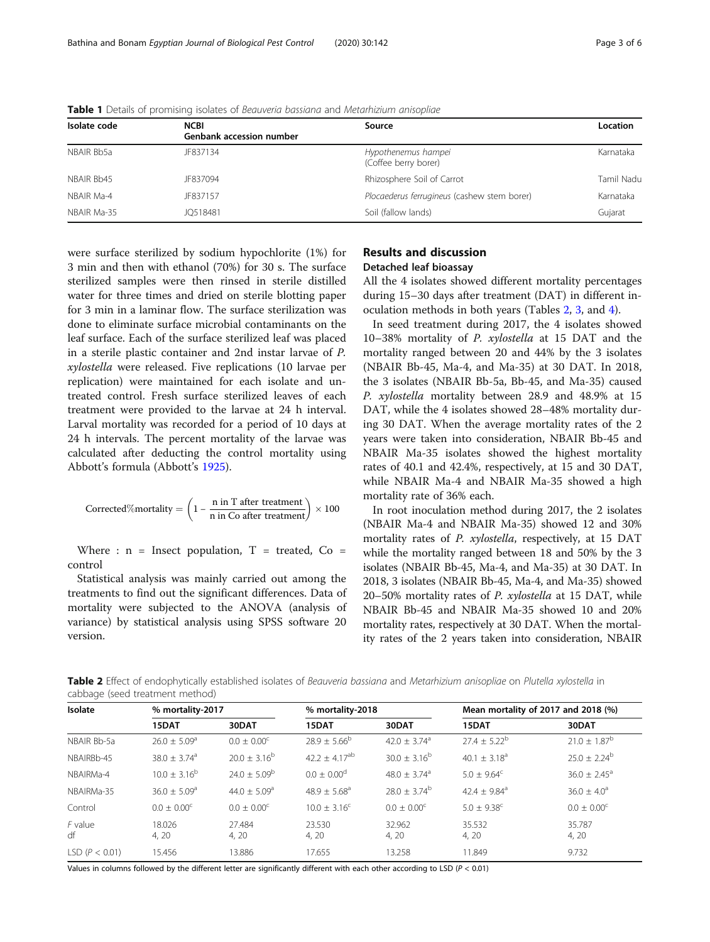| <b>NCBI</b><br><b>Genbank accession number</b> | Source                                      | Location   |  |
|------------------------------------------------|---------------------------------------------|------------|--|
| JF837134                                       | Hypothenemus hampei<br>(Coffee berry borer) | Karnataka  |  |
| JF837094                                       | Rhizosphere Soil of Carrot                  | Tamil Nadu |  |
| JF837157                                       | Plocaederus ferrugineus (cashew stem borer) | Karnataka  |  |
| JO518481                                       | Soil (fallow lands)                         | Gujarat    |  |
|                                                |                                             |            |  |

<span id="page-2-0"></span>Table 1 Details of promising isolates of Beauveria bassiana and Metarhizium anisopliae

were surface sterilized by sodium hypochlorite (1%) for 3 min and then with ethanol (70%) for 30 s. The surface sterilized samples were then rinsed in sterile distilled water for three times and dried on sterile blotting paper for 3 min in a laminar flow. The surface sterilization was done to eliminate surface microbial contaminants on the leaf surface. Each of the surface sterilized leaf was placed in a sterile plastic container and 2nd instar larvae of P. xylostella were released. Five replications (10 larvae per replication) were maintained for each isolate and untreated control. Fresh surface sterilized leaves of each treatment were provided to the larvae at 24 h interval. Larval mortality was recorded for a period of 10 days at 24 h intervals. The percent mortality of the larvae was calculated after deducting the control mortality using Abbott's formula (Abbott's [1925](#page-4-0)).

Corrected%mortality = 
$$
\left(1 - \frac{n \text{ in } T \text{ after treatment}}{n \text{ in Co after treatment}}\right) \times 100
$$

Where :  $n =$  Insect population,  $T =$  treated,  $Co =$ control

Statistical analysis was mainly carried out among the treatments to find out the significant differences. Data of mortality were subjected to the ANOVA (analysis of variance) by statistical analysis using SPSS software 20 version.

## Results and discussion Detached leaf bioassay

All the 4 isolates showed different mortality percentages during 15–30 days after treatment (DAT) in different inoculation methods in both years (Tables 2, [3,](#page-3-0) and [4\)](#page-3-0).

In seed treatment during 2017, the 4 isolates showed 10–38% mortality of P. xylostella at 15 DAT and the mortality ranged between 20 and 44% by the 3 isolates (NBAIR Bb-45, Ma-4, and Ma-35) at 30 DAT. In 2018, the 3 isolates (NBAIR Bb-5a, Bb-45, and Ma-35) caused P. xylostella mortality between 28.9 and 48.9% at 15 DAT, while the 4 isolates showed 28–48% mortality during 30 DAT. When the average mortality rates of the 2 years were taken into consideration, NBAIR Bb-45 and NBAIR Ma-35 isolates showed the highest mortality rates of 40.1 and 42.4%, respectively, at 15 and 30 DAT, while NBAIR Ma-4 and NBAIR Ma-35 showed a high mortality rate of 36% each.

In root inoculation method during 2017, the 2 isolates (NBAIR Ma-4 and NBAIR Ma-35) showed 12 and 30% mortality rates of P. xylostella, respectively, at 15 DAT while the mortality ranged between 18 and 50% by the 3 isolates (NBAIR Bb-45, Ma-4, and Ma-35) at 30 DAT. In 2018, 3 isolates (NBAIR Bb-45, Ma-4, and Ma-35) showed 20–50% mortality rates of P. xylostella at 15 DAT, while NBAIR Bb-45 and NBAIR Ma-35 showed 10 and 20% mortality rates, respectively at 30 DAT. When the mortality rates of the 2 years taken into consideration, NBAIR

Table 2 Effect of endophytically established isolates of Beauveria bassiana and Metarhizium anisopliae on Plutella xylostella in cabbage (seed treatment method)

| Isolate            | % mortality-2017             |                         | % mortality-2018             |                              | Mean mortality of 2017 and 2018 (%) |                         |
|--------------------|------------------------------|-------------------------|------------------------------|------------------------------|-------------------------------------|-------------------------|
|                    | 15DAT                        | 30DAT                   | 15DAT                        | 30DAT                        | 15DAT                               | 30DAT                   |
| NBAIR Bb-5a        | $26.0 \pm 5.09$ <sup>a</sup> | $0.0 \pm 0.00^{\circ}$  | $28.9 \pm 5.66^{\circ}$      | 42.0 $\pm$ 3.74 <sup>a</sup> | $27.4 \pm 5.22^b$                   | $21.0 \pm 1.87^{\rm b}$ |
| NBAIRBb-45         | $38.0 \pm 3.74$ <sup>a</sup> | $20.0 \pm 3.16^b$       | $42.2 + 4.17$ <sup>ab</sup>  | $30.0 \pm 3.16^b$            | 40.1 $\pm$ 3.18 <sup>a</sup>        | $25.0 \pm 2.24^b$       |
| NBAIRMa-4          | $10.0 \pm 3.16^b$            | $24.0 \pm 5.09^{\rm b}$ | $0.0 + 0.00^d$               | $48.0 \pm 3.74$ <sup>a</sup> | $5.0 \pm 9.64^{\circ}$              | $36.0 \pm 2.45^{\circ}$ |
| NBAIRMa-35         | $36.0 + 5.09a$               | $44.0 + 5.09a$          | $48.9 \pm 5.68$ <sup>a</sup> | $28.0 \pm 3.74^{\rm b}$      | 42.4 $\pm$ 9.84 <sup>a</sup>        | $36.0 \pm 4.0^a$        |
| Control            | $0.0 \pm 0.00^{\circ}$       | $0.0 \pm 0.00^{\circ}$  | $10.0 \pm 3.16^{\circ}$      | $0.0 \pm 0.00^{\circ}$       | $5.0 \pm 9.38$ <sup>c</sup>         | $0.0 \pm 0.00^{\circ}$  |
| $F$ value<br>df    | 18.026<br>4, 20              | 27.484<br>4, 20         | 23.530<br>4, 20              | 32.962<br>4, 20              | 35.532<br>4, 20                     | 35.787<br>4, 20         |
| LSD ( $P < 0.01$ ) | 15.456                       | 13.886                  | 17.655                       | 13.258                       | 11.849                              | 9.732                   |

Values in columns followed by the different letter are significantly different with each other according to LSD ( $P < 0.01$ )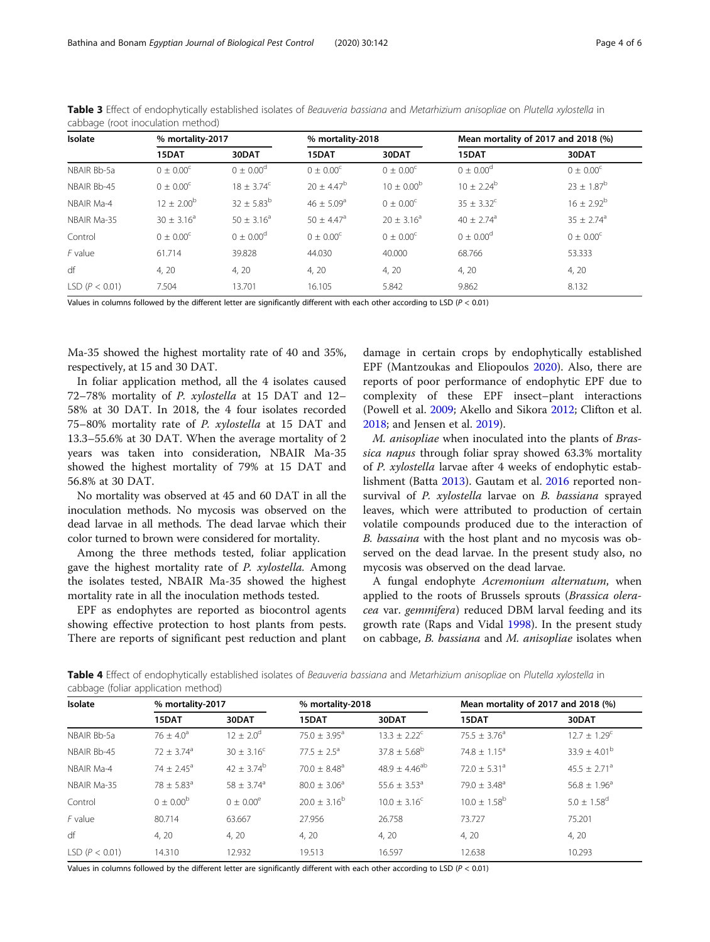| Isolate            | % mortality-2017      |                   | % mortality-2018         |                       | Mean mortality of 2017 and 2018 (%) |                          |
|--------------------|-----------------------|-------------------|--------------------------|-----------------------|-------------------------------------|--------------------------|
|                    | 15DAT                 | 30DAT             | 15DAT                    | 30DAT                 | 15DAT                               | 30DAT                    |
| NBAIR Bb-5a        | $0 \pm 0.00^{\circ}$  | $0 \pm 0.00^d$    | $0 \pm 0.00^{\circ}$     | $0 + 0.00^{\circ}$    | $0 \pm 0.00^d$                      | $0 \pm 0.00^{\circ}$     |
| NBAIR Bb-45        | $0 \pm 0.00^{\circ}$  | $18 + 3.74^c$     | $20 \pm 4.47^b$          | $10 \pm 0.00^{\rm b}$ | $10 + 2.24^b$                       | $23 \pm 1.87^{\rm b}$    |
| NBAIR Ma-4         | $12 \pm 2.00^{\rm b}$ | $32 \pm 5.83^{b}$ | $46 + 5.09^{\circ}$      | $0 + 0.00^{\circ}$    | $35 + 3.32^{\circ}$                 | $16 \pm 2.92^b$          |
| NBAIR Ma-35        | $30 \pm 3.16^a$       | $50 + 3.16^a$     | $50 + 4.47$ <sup>a</sup> | $20 + 3.16^a$         | $40 + 2.74$ <sup>a</sup>            | $35 + 2.74$ <sup>a</sup> |
| Control            | $0 + 0.00^{\circ}$    | $0 + 0.00^d$      | $0 + 0.00^{\circ}$       | $0 + 0.00^{\circ}$    | $0 + 0.00^d$                        | $0 + 0.00^{\circ}$       |
| $F$ value          | 61.714                | 39.828            | 44.030                   | 40.000                | 68.766                              | 53.333                   |
| df                 | 4, 20                 | 4, 20             | 4, 20                    | 4, 20                 | 4, 20                               | 4, 20                    |
| LSD ( $P < 0.01$ ) | 7.504                 | 13.701            | 16.105                   | 5.842                 | 9.862                               | 8.132                    |

<span id="page-3-0"></span>Table 3 Effect of endophytically established isolates of Beauveria bassiana and Metarhizium anisopliae on Plutella xylostella in cabbage (root inoculation method)

Values in columns followed by the different letter are significantly different with each other according to LSD ( $P < 0.01$ )

Ma-35 showed the highest mortality rate of 40 and 35%, respectively, at 15 and 30 DAT.

In foliar application method, all the 4 isolates caused 72–78% mortality of P. xylostella at 15 DAT and 12– 58% at 30 DAT. In 2018, the 4 four isolates recorded 75–80% mortality rate of P. xylostella at 15 DAT and 13.3–55.6% at 30 DAT. When the average mortality of 2 years was taken into consideration, NBAIR Ma-35 showed the highest mortality of 79% at 15 DAT and 56.8% at 30 DAT.

No mortality was observed at 45 and 60 DAT in all the inoculation methods. No mycosis was observed on the dead larvae in all methods. The dead larvae which their color turned to brown were considered for mortality.

Among the three methods tested, foliar application gave the highest mortality rate of P. xylostella. Among the isolates tested, NBAIR Ma-35 showed the highest mortality rate in all the inoculation methods tested.

EPF as endophytes are reported as biocontrol agents showing effective protection to host plants from pests. There are reports of significant pest reduction and plant

damage in certain crops by endophytically established EPF (Mantzoukas and Eliopoulos [2020](#page-5-0)). Also, there are reports of poor performance of endophytic EPF due to complexity of these EPF insect–plant interactions (Powell et al. [2009;](#page-5-0) Akello and Sikora [2012](#page-4-0); Clifton et al. [2018](#page-4-0); and Jensen et al. [2019](#page-5-0)).

M. anisopliae when inoculated into the plants of Brassica napus through foliar spray showed 63.3% mortality of P. xylostella larvae after 4 weeks of endophytic establishment (Batta [2013](#page-4-0)). Gautam et al. [2016](#page-4-0) reported nonsurvival of P. xylostella larvae on B. bassiana sprayed leaves, which were attributed to production of certain volatile compounds produced due to the interaction of B. bassaina with the host plant and no mycosis was observed on the dead larvae. In the present study also, no mycosis was observed on the dead larvae.

A fungal endophyte Acremonium alternatum, when applied to the roots of Brussels sprouts (Brassica oleracea var. gemmifera) reduced DBM larval feeding and its growth rate (Raps and Vidal [1998\)](#page-5-0). In the present study on cabbage, B. bassiana and M. anisopliae isolates when

Table 4 Effect of endophytically established isolates of Beauveria bassiana and Metarhizium anisopliae on Plutella xylostella in cabbage (foliar application method)

| Isolate            | % mortality-2017           |                            | % mortality-2018             |                              | Mean mortality of 2017 and 2018 (%) |                              |
|--------------------|----------------------------|----------------------------|------------------------------|------------------------------|-------------------------------------|------------------------------|
|                    | 15DAT                      | 30DAT                      | 15DAT                        | 30DAT                        | 15DAT                               | 30DAT                        |
| NBAIR Bb-5a        | 76 $\pm$ 4.0 <sup>a</sup>  | $12 \pm 2.0^{\circ}$       | 75.0 $\pm$ 3.95 <sup>a</sup> | $13.3 \pm 2.22^c$            | $75.5 \pm 3.76^{\circ}$             | $12.7 \pm 1.29$ <sup>c</sup> |
| NBAIR Bb-45        | $72 \pm 3.74$ <sup>a</sup> | $30 \pm 3.16^{\circ}$      | $77.5 + 2.5^{\circ}$         | $37.8 \pm 5.68^{\rm b}$      | 74.8 $\pm$ 1.15 <sup>a</sup>        | $33.9 \pm 4.01^{\rm b}$      |
| NBAIR Ma-4         | 74 ± 2.45 <sup>a</sup>     | $42 \pm 3.74^{\rm b}$      | $70.0 \pm 8.48$ <sup>a</sup> | $48.9 \pm 4.46^{ab}$         | $72.0 \pm 5.31$ <sup>a</sup>        | $45.5 \pm 2.71$ <sup>a</sup> |
| NBAIR Ma-35        | $78 \pm 5.83$ <sup>a</sup> | $58 \pm 3.74$ <sup>a</sup> | $80.0 \pm 3.06^{\circ}$      | 55.6 $\pm$ 3.53 <sup>a</sup> | 79.0 $\pm$ 3.48 <sup>a</sup>        | $56.8 \pm 1.96^{\circ}$      |
| Control            | $0 \pm 0.00^{b}$           | $0 \pm 0.00^e$             | $20.0 \pm 3.16^b$            | $10.0 \pm 3.16^{\circ}$      | $10.0 \pm 1.58^{\rm b}$             | $5.0 \pm 1.58$ <sup>d</sup>  |
| $F$ value          | 80.714                     | 63.667                     | 27.956                       | 26.758                       | 73.727                              | 75.201                       |
| df                 | 4, 20                      | 4, 20                      | 4, 20                        | 4, 20                        | 4, 20                               | 4, 20                        |
| LSD ( $P < 0.01$ ) | 14.310                     | 12.932                     | 19.513                       | 16.597                       | 12.638                              | 10.293                       |

Values in columns followed by the different letter are significantly different with each other according to LSD ( $P < 0.01$ )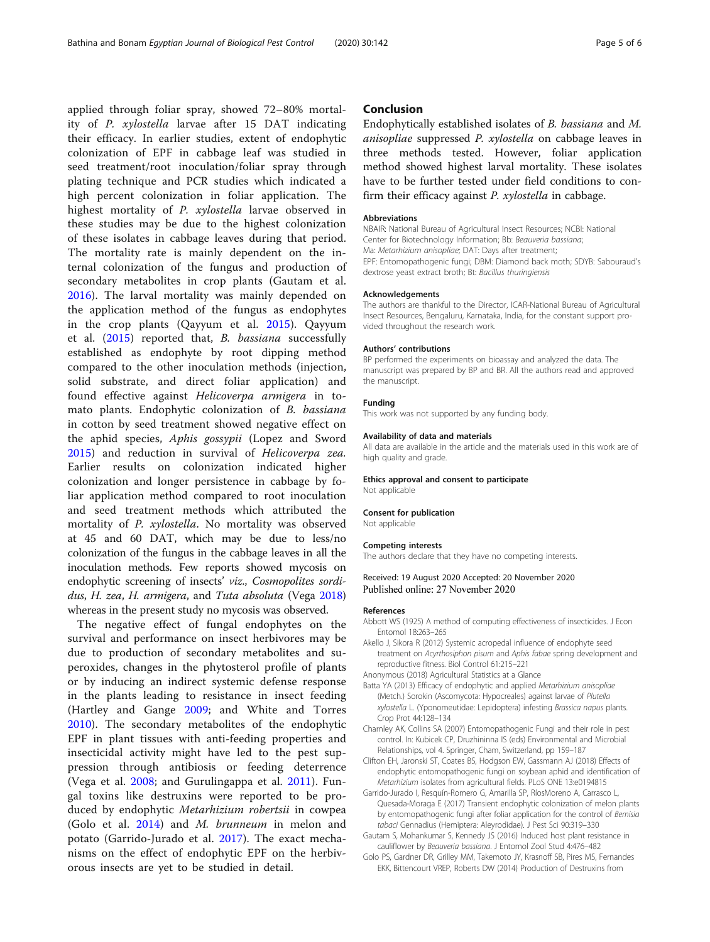<span id="page-4-0"></span>applied through foliar spray, showed 72–80% mortality of P. xylostella larvae after 15 DAT indicating their efficacy. In earlier studies, extent of endophytic colonization of EPF in cabbage leaf was studied in seed treatment/root inoculation/foliar spray through plating technique and PCR studies which indicated a high percent colonization in foliar application. The highest mortality of P. xylostella larvae observed in these studies may be due to the highest colonization of these isolates in cabbage leaves during that period. The mortality rate is mainly dependent on the internal colonization of the fungus and production of secondary metabolites in crop plants (Gautam et al. 2016). The larval mortality was mainly depended on the application method of the fungus as endophytes in the crop plants (Qayyum et al. [2015\)](#page-5-0). Qayyum et al. [\(2015](#page-5-0)) reported that, B. bassiana successfully established as endophyte by root dipping method compared to the other inoculation methods (injection, solid substrate, and direct foliar application) and found effective against Helicoverpa armigera in tomato plants. Endophytic colonization of B. bassiana in cotton by seed treatment showed negative effect on the aphid species, Aphis gossypii (Lopez and Sword [2015\)](#page-5-0) and reduction in survival of Helicoverpa zea. Earlier results on colonization indicated higher colonization and longer persistence in cabbage by foliar application method compared to root inoculation and seed treatment methods which attributed the mortality of P. xylostella. No mortality was observed at 45 and 60 DAT, which may be due to less/no colonization of the fungus in the cabbage leaves in all the inoculation methods. Few reports showed mycosis on endophytic screening of insects' viz., Cosmopolites sordi-dus, H. zea, H. armigera, and Tuta absoluta (Vega [2018](#page-5-0)) whereas in the present study no mycosis was observed.

The negative effect of fungal endophytes on the survival and performance on insect herbivores may be due to production of secondary metabolites and superoxides, changes in the phytosterol profile of plants or by inducing an indirect systemic defense response in the plants leading to resistance in insect feeding (Hartley and Gange [2009;](#page-5-0) and White and Torres [2010\)](#page-5-0). The secondary metabolites of the endophytic EPF in plant tissues with anti-feeding properties and insecticidal activity might have led to the pest suppression through antibiosis or feeding deterrence (Vega et al. [2008;](#page-5-0) and Gurulingappa et al. [2011](#page-5-0)). Fungal toxins like destruxins were reported to be produced by endophytic Metarhizium robertsii in cowpea (Golo et al. 2014) and M. brunneum in melon and potato (Garrido-Jurado et al. 2017). The exact mechanisms on the effect of endophytic EPF on the herbivorous insects are yet to be studied in detail.

## Conclusion

Endophytically established isolates of B. bassiana and M. anisopliae suppressed P. xylostella on cabbage leaves in three methods tested. However, foliar application method showed highest larval mortality. These isolates have to be further tested under field conditions to confirm their efficacy against P. xylostella in cabbage.

#### Abbreviations

NBAIR: National Bureau of Agricultural Insect Resources; NCBI: National Center for Biotechnology Information; Bb: Beauveria bassiana; Ma: Metarhizium anisopliae; DAT: Days after treatment; EPF: Entomopathogenic fungi; DBM: Diamond back moth; SDYB: Sabouraud's dextrose yeast extract broth; Bt: Bacillus thuringiensis

#### Acknowledgements

The authors are thankful to the Director, ICAR-National Bureau of Agricultural Insect Resources, Bengaluru, Karnataka, India, for the constant support provided throughout the research work.

#### Authors' contributions

BP performed the experiments on bioassay and analyzed the data. The manuscript was prepared by BP and BR. All the authors read and approved the manuscript.

#### Funding

This work was not supported by any funding body.

#### Availability of data and materials

All data are available in the article and the materials used in this work are of high quality and grade.

#### Ethics approval and consent to participate

Not applicable

#### Consent for publication

Not applicable

#### Competing interests

The authors declare that they have no competing interests.

#### Received: 19 August 2020 Accepted: 20 November 2020 Published online: 27 November 2020

#### References

- Abbott WS (1925) A method of computing effectiveness of insecticides. J Econ Entomol 18:263–265
- Akello J, Sikora R (2012) Systemic acropedal influence of endophyte seed treatment on Acyrthosiphon pisum and Aphis fabae spring development and reproductive fitness. Biol Control 61:215–221

- Batta YA (2013) Efficacy of endophytic and applied Metarhizium anisopliae (Metch.) Sorokin (Ascomycota: Hypocreales) against larvae of Plutella xylostella L. (Yponomeutidae: Lepidoptera) infesting Brassica napus plants. Crop Prot 44:128–134
- Charnley AK, Collins SA (2007) Entomopathogenic Fungi and their role in pest control. In: Kubicek CP, Druzhininna IS (eds) Environmental and Microbial Relationships, vol 4. Springer, Cham, Switzerland, pp 159–187
- Clifton EH, Jaronski ST, Coates BS, Hodgson EW, Gassmann AJ (2018) Effects of endophytic entomopathogenic fungi on soybean aphid and identification of Metarhizium isolates from agricultural fields. PLoS ONE 13:e0194815
- Garrido-Jurado I, Resquín-Romero G, Amarilla SP, RíosMoreno A, Carrasco L, Quesada-Moraga E (2017) Transient endophytic colonization of melon plants by entomopathogenic fungi after foliar application for the control of Bemisia tabaci Gennadius (Hemiptera: Aleyrodidae). J Pest Sci 90:319–330
- Gautam S, Mohankumar S, Kennedy JS (2016) Induced host plant resistance in cauliflower by Beauveria bassiana. J Entomol Zool Stud 4:476–482
- Golo PS, Gardner DR, Grilley MM, Takemoto JY, Krasnoff SB, Pires MS, Fernandes EKK, Bittencourt VREP, Roberts DW (2014) Production of Destruxins from

Anonymous (2018) Agricultural Statistics at a Glance